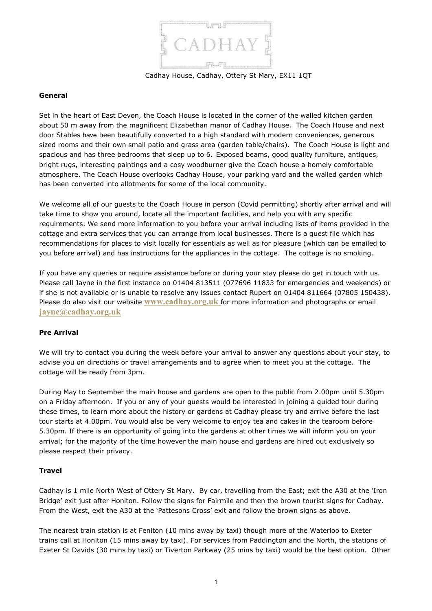

Cadhay House, Cadhay, Ottery St Mary, EX11 1QT

## **General**

Set in the heart of East Devon, the Coach House is located in the corner of the walled kitchen garden about 50 m away from the magnificent Elizabethan manor of Cadhay House. The Coach House and next door Stables have been beautifully converted to a high standard with modern conveniences, generous sized rooms and their own small patio and grass area (garden table/chairs). The Coach House is light and spacious and has three bedrooms that sleep up to 6. Exposed beams, good quality furniture, antiques, bright rugs, interesting paintings and a cosy woodburner give the Coach house a homely comfortable atmosphere. The Coach House overlooks Cadhay House, your parking yard and the walled garden which has been converted into allotments for some of the local community.

We welcome all of our guests to the Coach House in person (Covid permitting) shortly after arrival and will take time to show you around, locate all the important facilities, and help you with any specific requirements. We send more information to you before your arrival including lists of items provided in the cottage and extra services that you can arrange from local businesses. There is a guest file which has recommendations for places to visit locally for essentials as well as for pleasure (which can be emailed to you before arrival) and has instructions for the appliances in the cottage. The cottage is no smoking.

If you have any queries or require assistance before or during your stay please do get in touch with us. Please call Jayne in the first instance on 01404 813511 (077696 11833 for emergencies and weekends) or if she is not available or is unable to resolve any issues contact Rupert on 01404 811664 (07805 150438). Please do also visit our website **[www.cadhay.org.uk](http://www.cadhay.org.uk/)** for more information and photographs or email **[jayne@cadhay.org.uk](mailto:jayne@cadhay.org.uk)**

# **Pre Arrival**

We will try to contact you during the week before your arrival to answer any questions about your stay, to advise you on directions or travel arrangements and to agree when to meet you at the cottage. The cottage will be ready from 3pm.

During May to September the main house and gardens are open to the public from 2.00pm until 5.30pm on a Friday afternoon. If you or any of your guests would be interested in joining a guided tour during these times, to learn more about the history or gardens at Cadhay please try and arrive before the last tour starts at 4.00pm. You would also be very welcome to enjoy tea and cakes in the tearoom before 5.30pm. If there is an opportunity of going into the gardens at other times we will inform you on your arrival; for the majority of the time however the main house and gardens are hired out exclusively so please respect their privacy.

### **Travel**

Cadhay is 1 mile North West of Ottery St Mary. By car, travelling from the East; exit the A30 at the 'Iron Bridge' exit just after Honiton. Follow the signs for Fairmile and then the brown tourist signs for Cadhay. From the West, exit the A30 at the 'Pattesons Cross' exit and follow the brown signs as above.

The nearest train station is at Feniton (10 mins away by taxi) though more of the Waterloo to Exeter trains call at Honiton (15 mins away by taxi). For services from Paddington and the North, the stations of Exeter St Davids (30 mins by taxi) or Tiverton Parkway (25 mins by taxi) would be the best option. Other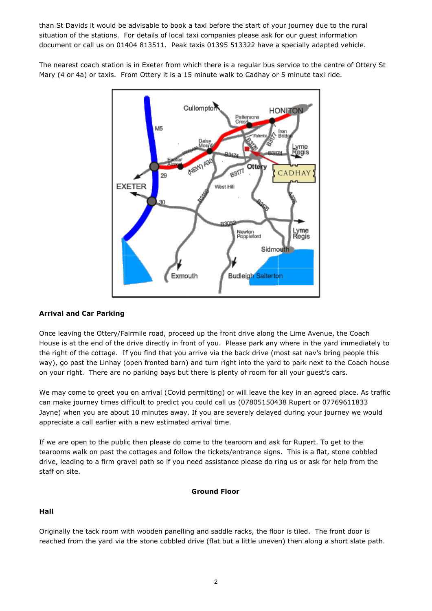than St Davids it would be advisable to book a taxi before the start of your journey due to the rural situation of the stations. For details of local taxi companies please ask for our guest information document or call us on 01404 813511. Peak taxis 01395 513322 have a specially adapted vehicle.

The nearest coach station is in Exeter from which there is a regular bus service to the centre of Ottery St Mary (4 or 4a) or taxis. From Ottery it is a 15 minute walk to Cadhay or 5 minute taxi ride.



# **Arrival and Car Parking**

Once leaving the Ottery/Fairmile road, proceed up the front drive along the Lime Avenue, the Coach House is at the end of the drive directly in front of you. Please park any where in the yard immediately to the right of the cottage. If you find that you arrive via the back drive (most sat nav's bring people this way), go past the Linhay (open fronted barn) and turn right into the yard to park next to the Coach house on your right. There are no parking bays but there is plenty of room for all your guest's cars.

We may come to greet you on arrival (Covid permitting) or will leave the key in an agreed place. As traffic can make journey times difficult to predict you could call us (07805150438 Rupert or 07769611833 Jayne) when you are about 10 minutes away. If you are severely delayed during your journey we would appreciate a call earlier with a new estimated arrival time.

If we are open to the public then please do come to the tearoom and ask for Rupert. To get to the tearooms walk on past the cottages and follow the tickets/entrance signs. This is a flat, stone cobbled drive, leading to a firm gravel path so if you need assistance please do ring us or ask for help from the staff on site.

### **Ground Floor**

# **Hall**

Originally the tack room with wooden panelling and saddle racks, the floor is tiled. The front door is reached from the yard via the stone cobbled drive (flat but a little uneven) then along a short slate path.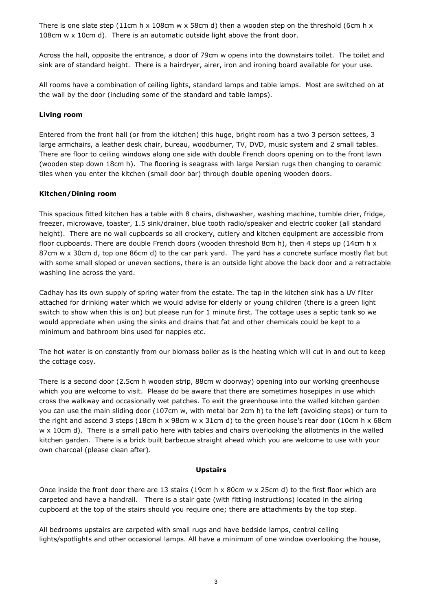There is one slate step (11cm h x 108cm w x 58cm d) then a wooden step on the threshold (6cm h x 108cm w x 10cm d). There is an automatic outside light above the front door.

Across the hall, opposite the entrance, a door of 79cm w opens into the downstairs toilet. The toilet and sink are of standard height. There is a hairdryer, airer, iron and ironing board available for your use.

All rooms have a combination of ceiling lights, standard lamps and table lamps. Most are switched on at the wall by the door (including some of the standard and table lamps).

# **Living room**

Entered from the front hall (or from the kitchen) this huge, bright room has a two 3 person settees, 3 large armchairs, a leather desk chair, bureau, woodburner, TV, DVD, music system and 2 small tables. There are floor to ceiling windows along one side with double French doors opening on to the front lawn (wooden step down 18cm h). The flooring is seagrass with large Persian rugs then changing to ceramic tiles when you enter the kitchen (small door bar) through double opening wooden doors.

# **Kitchen/Dining room**

This spacious fitted kitchen has a table with 8 chairs, dishwasher, washing machine, tumble drier, fridge, freezer, microwave, toaster, 1.5 sink/drainer, blue tooth radio/speaker and electric cooker (all standard height). There are no wall cupboards so all crockery, cutlery and kitchen equipment are accessible from floor cupboards. There are double French doors (wooden threshold 8cm h), then 4 steps up (14cm h x 87cm w x 30cm d, top one 86cm d) to the car park yard. The yard has a concrete surface mostly flat but with some small sloped or uneven sections, there is an outside light above the back door and a retractable washing line across the yard.

Cadhay has its own supply of spring water from the estate. The tap in the kitchen sink has a UV filter attached for drinking water which we would advise for elderly or young children (there is a green light switch to show when this is on) but please run for 1 minute first. The cottage uses a septic tank so we would appreciate when using the sinks and drains that fat and other chemicals could be kept to a minimum and bathroom bins used for nappies etc.

The hot water is on constantly from our biomass boiler as is the heating which will cut in and out to keep the cottage cosy.

There is a second door (2.5cm h wooden strip, 88cm w doorway) opening into our working greenhouse which you are welcome to visit. Please do be aware that there are sometimes hosepipes in use which cross the walkway and occasionally wet patches. To exit the greenhouse into the walled kitchen garden you can use the main sliding door (107cm w, with metal bar 2cm h) to the left (avoiding steps) or turn to the right and ascend 3 steps (18cm h x 98cm w x 31cm d) to the green house's rear door (10cm h x 68cm w x 10cm d). There is a small patio here with tables and chairs overlooking the allotments in the walled kitchen garden. There is a brick built barbecue straight ahead which you are welcome to use with your own charcoal (please clean after).

# **Upstairs**

Once inside the front door there are 13 stairs (19cm h x 80cm w x 25cm d) to the first floor which are carpeted and have a handrail. There is a stair gate (with fitting instructions) located in the airing cupboard at the top of the stairs should you require one; there are attachments by the top step.

All bedrooms upstairs are carpeted with small rugs and have bedside lamps, central ceiling lights/spotlights and other occasional lamps. All have a minimum of one window overlooking the house,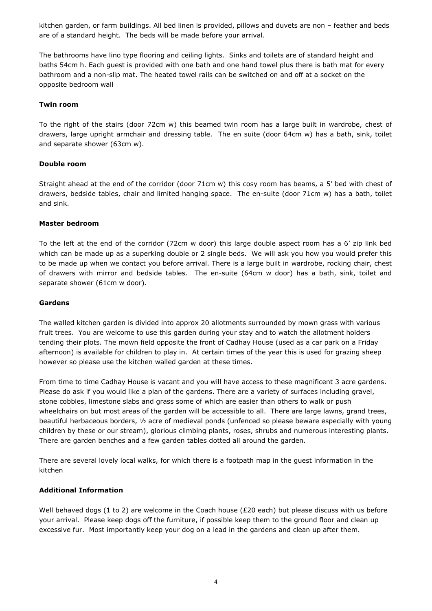kitchen garden, or farm buildings. All bed linen is provided, pillows and duvets are non – feather and beds are of a standard height. The beds will be made before your arrival.

The bathrooms have lino type flooring and ceiling lights. Sinks and toilets are of standard height and baths 54cm h. Each guest is provided with one bath and one hand towel plus there is bath mat for every bathroom and a non-slip mat. The heated towel rails can be switched on and off at a socket on the opposite bedroom wall

## **Twin room**

To the right of the stairs (door 72cm w) this beamed twin room has a large built in wardrobe, chest of drawers, large upright armchair and dressing table. The en suite (door 64cm w) has a bath, sink, toilet and separate shower (63cm w).

## **Double room**

Straight ahead at the end of the corridor (door 71cm w) this cosy room has beams, a 5' bed with chest of drawers, bedside tables, chair and limited hanging space. The en-suite (door 71cm w) has a bath, toilet and sink.

## **Master bedroom**

To the left at the end of the corridor (72cm w door) this large double aspect room has a 6' zip link bed which can be made up as a superking double or 2 single beds. We will ask you how you would prefer this to be made up when we contact you before arrival. There is a large built in wardrobe, rocking chair, chest of drawers with mirror and bedside tables. The en-suite (64cm w door) has a bath, sink, toilet and separate shower (61cm w door).

### **Gardens**

The walled kitchen garden is divided into approx 20 allotments surrounded by mown grass with various fruit trees. You are welcome to use this garden during your stay and to watch the allotment holders tending their plots. The mown field opposite the front of Cadhay House (used as a car park on a Friday afternoon) is available for children to play in. At certain times of the year this is used for grazing sheep however so please use the kitchen walled garden at these times.

From time to time Cadhay House is vacant and you will have access to these magnificent 3 acre gardens. Please do ask if you would like a plan of the gardens. There are a variety of surfaces including gravel, stone cobbles, limestone slabs and grass some of which are easier than others to walk or push wheelchairs on but most areas of the garden will be accessible to all. There are large lawns, grand trees, beautiful herbaceous borders, ½ acre of medieval ponds (unfenced so please beware especially with young children by these or our stream), glorious climbing plants, roses, shrubs and numerous interesting plants. There are garden benches and a few garden tables dotted all around the garden.

There are several lovely local walks, for which there is a footpath map in the guest information in the kitchen

# **Additional Information**

Well behaved dogs (1 to 2) are welcome in the Coach house (£20 each) but please discuss with us before your arrival. Please keep dogs off the furniture, if possible keep them to the ground floor and clean up excessive fur. Most importantly keep your dog on a lead in the gardens and clean up after them.